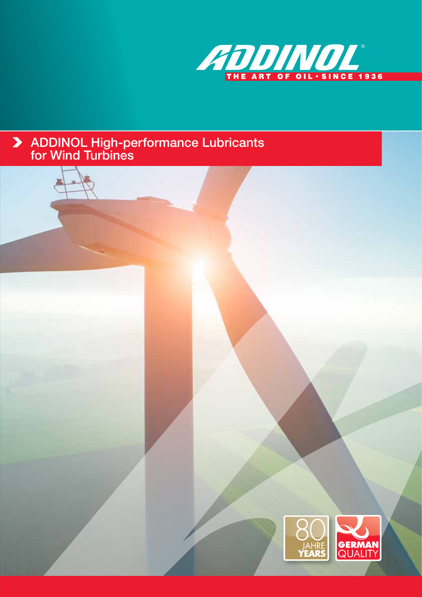

# ADDINOL High-performance Lubricants for Wind Turbines

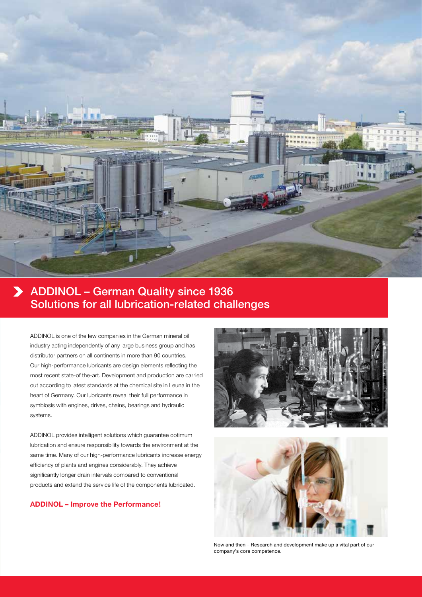

# ADDINOL – German Quality since 1936 Solutions for all lubrication-related challenges

ADDINOL is one of the few companies in the German mineral oil industry acting independently of any large business group and has distributor partners on all continents in more than 90 countries. Our high-performance lubricants are design elements reflecting the most recent state-of the-art. Development and production are carried out according to latest standards at the chemical site in Leuna in the heart of Germany. Our lubricants reveal their full performance in symbiosis with engines, drives, chains, bearings and hydraulic systems.

ADDINOL provides intelligent solutions which guarantee optimum lubrication and ensure responsibility towards the environment at the same time. Many of our high-performance lubricants increase energy efficiency of plants and engines considerably. They achieve significantly longer drain intervals compared to conventional products and extend the service life of the components lubricated.

## **ADDINOL – Improve the Performance!**





Now and then – Research and development make up a vital part of our company's core competence.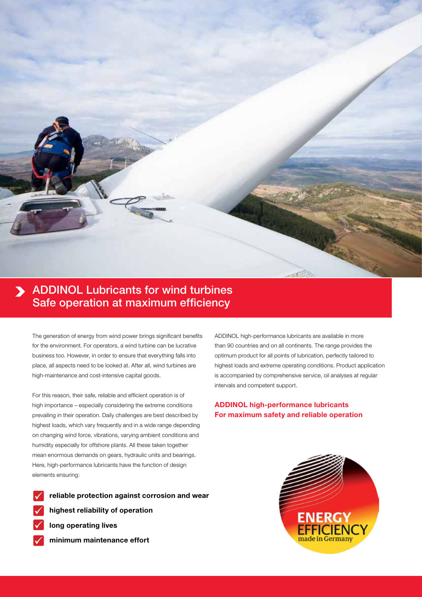

# **ADDINOL Lubricants for wind turbines** Safe operation at maximum efficiency

The generation of energy from wind power brings significant benefits for the environment. For operators, a wind turbine can be lucrative business too. However, in order to ensure that everything falls into place, all aspects need to be looked at. After all, wind turbines are high-maintenance and cost-intensive capital goods.

For this reason, their safe, reliable and efficient operation is of high importance – especially considering the extreme conditions prevailing in their operation. Daily challenges are best described by highest loads, which vary frequently and in a wide range depending on changing wind force, vibrations, varying ambient conditions and humidity especially for offshore plants. All these taken together mean enormous demands on gears, hydraulic units and bearings. Here, high-performance lubricants have the function of design elements ensuring:

- - **reliable protection against corrosion and wear**
- **highest reliability of operation**
- **long operating lives**
- **minimum maintenance effort**

ADDINOL high-performance lubricants are available in more than 90 countries and on all continents. The range provides the optimum product for all points of lubrication, perfectly tailored to highest loads and extreme operating conditions. Product application is accompanied by comprehensive service, oil analyses at regular intervals and competent support.

## **ADDINOL high-performance lubricants For maximum safety and reliable operation**

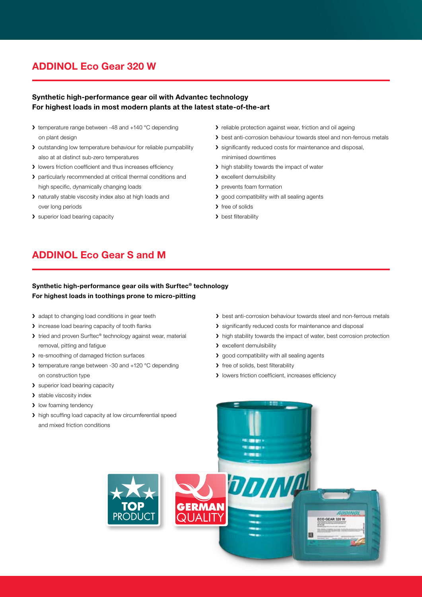# **ADDINOL Eco Gear 320 W**

## **Synthetic high-performance gear oil with Advantec technology For highest loads in most modern plants at the latest state-of-the-art**

- I temperature range between -48 and +140 °C depending on plant design
- > outstanding low temperature behaviour for reliable pumpability also at at distinct sub-zero temperatures
- **I** lowers friction coefficient and thus increases efficiency
- > particularly recommended at critical thermal conditions and high specific, dynamically changing loads
- naturally stable viscosity index also at high loads and over long periods
- > superior load bearing capacity
- I reliable protection against wear, friction and oil ageing
- > best anti-corrosion behaviour towards steel and non-ferrous metals
- significantly reduced costs for maintenance and disposal, minimised downtimes
- > high stability towards the impact of water
- > excellent demulsibility
- > prevents foam formation
- > good compatibility with all sealing agents
- > free of solids
- > best filterability

# **ADDINOL Eco Gear S and M**

## **Synthetic high-performance gear oils with Surftec® technology For highest loads in toothings prone to micro-pitting**

- > adapt to changing load conditions in gear teeth
- **>** increase load bearing capacity of tooth flanks
- ▶ tried and proven Surftec® technology against wear, material removal, pitting and fatigue
- > re-smoothing of damaged friction surfaces
- > temperature range between -30 and +120 °C depending on construction type
- > superior load bearing capacity
- > stable viscosity index
- **I** low foaming tendency
- > high scuffing load capacity at low circumferential speed and mixed friction conditions
- > best anti-corrosion behaviour towards steel and non-ferrous metals
- **>** significantly reduced costs for maintenance and disposal
- > high stability towards the impact of water, best corrosion protection

ECO GEAR 320 W

图

- > excellent demulsibility
- > good compatibility with all sealing agents

**DDINA** 

- > free of solids, best filterability
- **I** lowers friction coefficient, increases efficiency



**GERMAN**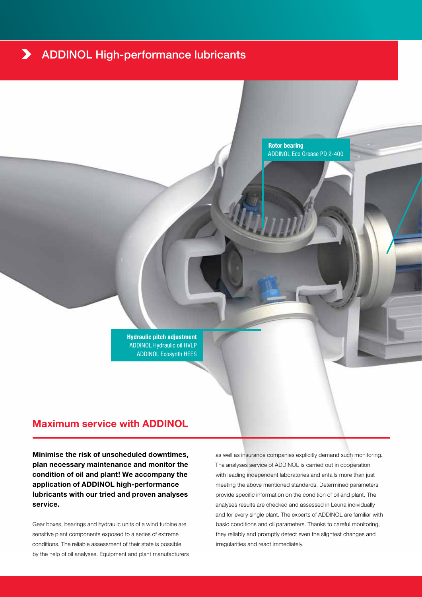#### ADDINOL High-performance lubricants $\blacktriangleright$

**Rotor bearing** ADDINOL Eco Grease PD 2-400

**Hydraulic pitch adjustment** ADDINOL Hydraulic oil HVLP ADDINOL Ecosynth HEES

## **Maximum service with ADDINOL**

**Minimise the risk of unscheduled downtimes, plan necessary maintenance and monitor the condition of oil and plant! We accompany the application of ADDINOL high-performance lubricants with our tried and proven analyses service.** 

Gear boxes, bearings and hydraulic units of a wind turbine are sensitive plant components exposed to a series of extreme conditions. The reliable assessment of their state is possible by the help of oil analyses. Equipment and plant manufacturers as well as insurance companies explicitly demand such monitoring. The analyses service of ADDINOL is carried out in cooperation with leading independent laboratories and entails more than just meeting the above mentioned standards. Determined parameters provide specific information on the condition of oil and plant. The analyses results are checked and assessed in Leuna individually and for every single plant. The experts of ADDINOL are familiar with basic conditions and oil parameters. Thanks to careful monitoring, they reliably and promptly detect even the slightest changes and irregularities and react immediately.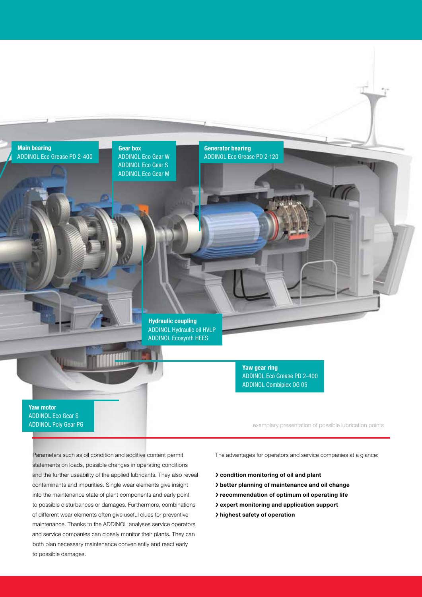

**Gear box** ADDINOL Eco Gear W ADDINOL Eco Gear S ADDINOL Eco Gear M

### **Generator bearing** ADDINOL Eco Grease PD 2-120

**Hydraulic coupling** ADDINOL Hydraulic oil HVLP ADDINOL Ecosynth HEES

> **Yaw gear ring** ADDINOL Eco Grease PD 2-400 ADDINOL Combiplex OG 05

**Yaw motor** ADDINOL Eco Gear S ADDINOL Poly Gear PG

exemplary presentation of possible lubrication points

Parameters such as oil condition and additive content permit statements on loads, possible changes in operating conditions and the further useability of the applied lubricants. They also reveal contaminants and impurities. Single wear elements give insight into the maintenance state of plant components and early point to possible disturbances or damages. Furthermore, combinations of different wear elements often give useful clues for preventive maintenance. Thanks to the ADDINOL analyses service operators and service companies can closely monitor their plants. They can both plan necessary maintenance conveniently and react early to possible damages.

The advantages for operators and service companies at a glance:

- **condition monitoring of oil and plant**
- **better planning of maintenance and oil change**
- **recommendation of optimum oil operating life**
- **expert monitoring and application support**
- **highest safety of operation**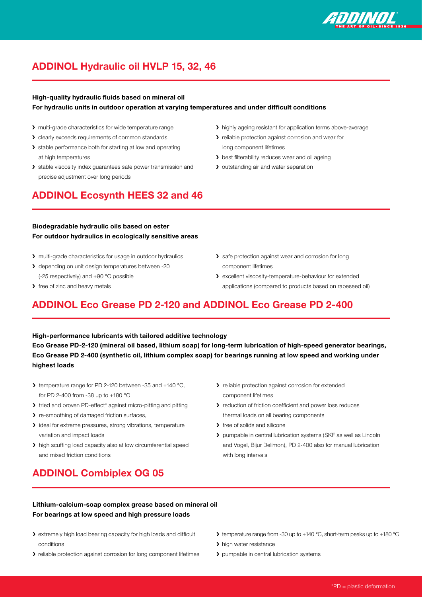

# **ADDINOL Hydraulic oil HVLP 15, 32, 46**

### **High-quality hydraulic fluids based on mineral oil For hydraulic units in outdoor operation at varying temperatures and under difficult conditions**

- multi-grade characteristics for wide temperature range
- > clearly exceeds requirements of common standards
- > stable performance both for starting at low and operating at high temperatures
- > stable viscosity index guarantees safe power transmission and precise adjustment over long periods

## **ADDINOL Ecosynth HEES 32 and 46**

- highly ageing resistant for application terms above-average
- **>** reliable protection against corrosion and wear for long component lifetimes
- **>** best filterability reduces wear and oil ageing
- > outstanding air and water separation
- **Biodegradable hydraulic oils based on ester For outdoor hydraulics in ecologically sensitive areas**
- multi-grade characteristics for usage in outdoor hydraulics
- > depending on unit design temperatures between -20 (-25 respectively) and +90 °C possible
- > free of zinc and heavy metals
- > safe protection against wear and corrosion for long component lifetimes
- excellent viscosity-temperature-behaviour for extended applications (compared to products based on rapeseed oil)

# **ADDINOL Eco Grease PD 2-120 and ADDINOL Eco Grease PD 2-400**

**High-performance lubricants with tailored additive technology Eco Grease PD-2-120 (mineral oil based, lithium soap) for long-term lubrication of high-speed generator bearings, Eco Grease PD 2-400 (synthetic oil, lithium complex soap) for bearings running at low speed and working under highest loads** 

- $\blacktriangleright$  temperature range for PD 2-120 between -35 and +140 °C, for PD 2-400 from -38 up to +180 °C
- I tried and proven PD-effect\* against micro-pitting and pitting
- > re-smoothing of damaged friction surfaces,
- I ideal for extreme pressures, strong vibrations, temperature variation and impact loads
- > high scuffing load capacity also at low circumferential speed and mixed friction conditions
- **>** reliable protection against corrosion for extended component lifetimes
- **>** reduction of friction coefficient and power loss reduces thermal loads on all bearing components
- > free of solids and silicone
- pumpable in central lubrication systems (SKF as well as Lincoln and Vogel, Bijur Delimon), PD 2-400 also for manual lubrication with long intervals
- **ADDINOL Combiplex OG 05**
- **Lithium-calcium-soap complex grease based on mineral oil For bearings at low speed and high pressure loads**
- extremely high load bearing capacity for high loads and difficult conditions
- reliable protection against corrosion for long component lifetimes
- temperature range from -30 up to +140 °C, short-term peaks up to +180 °C
- > high water resistance
- > pumpable in central lubrication systems